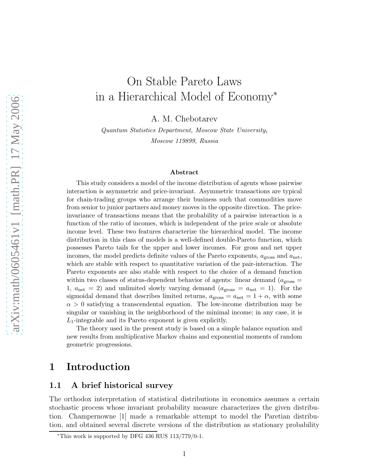# On Stable Pareto Laws in a Hierarchical Model of Economy<sup>∗</sup>

A. M. Chebotarev

Quantum Statistics Department, Moscow State University, Moscow 119899, Russia

#### Abstract

This study considers a model of the income distribution of agents whose pairwise interaction is asymmetric and price-invariant. Asymmetric transactions are typical for chain-trading groups who arrange their business such that commodities move from senior to junior partners and money moves in the opposite direction. The priceinvariance of transactions means that the probability of a pairwise interaction is a function of the ratio of incomes, which is independent of the price scale or absolute income level. These two features characterize the hierarchical model. The income distribution in this class of models is a well-defined double-Pareto function, which possesses Pareto tails for the upper and lower incomes. For gross and net upper incomes, the model predicts definite values of the Pareto exponents,  $a_{\text{gross}}$  and  $a_{\text{net}}$ , which are stable with respect to quantitative variation of the pair-interaction. The Pareto exponents are also stable with respect to the choice of a demand function within two classes of status-dependent behavior of agents: linear demand  $(a_{\text{gross}} =$ 1,  $a_{\text{net}} = 2$ ) and unlimited slowly varying demand  $(a_{\text{gross}} = a_{\text{net}} = 1)$ . For the sigmoidal demand that describes limited returns,  $a_{\text{gross}} = a_{\text{net}} = 1 + \alpha$ , with some  $\alpha > 0$  satisfying a transcendental equation. The low-income distribution may be singular or vanishing in the neighborhood of the minimal income; in any case, it is  $L_1$ -integrable and its Pareto exponent is given explicitly.

The theory used in the present study is based on a simple balance equation and new results from multiplicative Markov chains and exponential moments of random geometric progressions.

### 1 Introduction

### 1.1 A brief historical survey

The orthodox interpretation of statistical distributions in economics assumes a certain stochastic process whose invariant probability measure characterizes the given distribution. Champernowne [1] made a remarkable attempt to model the Paretian distribution, and obtained several discrete versions of the distribution as stationary probability

<sup>∗</sup>This work is supported by DFG 436 RUS 113/779/0-1.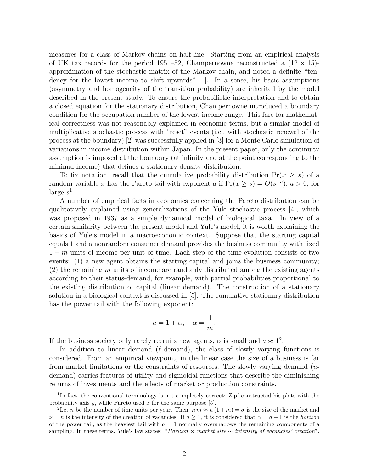measures for a class of Markov chains on half-line. Starting from an empirical analysis of UK tax records for the period 1951–52, Champernowne reconstructed a  $(12 \times 15)$ approximation of the stochastic matrix of the Markov chain, and noted a definite "tendency for the lowest income to shift upwards" [1]. In a sense, his basic assumptions (asymmetry and homogeneity of the transition probability) are inherited by the model described in the present study. To ensure the probabilistic interpretation and to obtain a closed equation for the stationary distribution, Champernowne introduced a boundary condition for the occupation number of the lowest income range. This fare for mathematical correctness was not reasonably explained in economic terms, but a similar model of multiplicative stochastic process with "reset" events (i.e., with stochastic renewal of the process at the boundary) [2] was successfully applied in [3] for a Monte Carlo simulation of variations in income distribution within Japan. In the present paper, only the continuity assumption is imposed at the boundary (at infinity and at the point corresponding to the minimal income) that defines a stationary density distribution.

To fix notation, recall that the cumulative probability distribution  $Pr(x \geq s)$  of a random variable x has the Pareto tail with exponent a if  $Pr(x \ge s) = O(s^{-a}), a > 0$ , for large  $s^1$ .

A number of empirical facts in economics concerning the Pareto distribution can be qualitatively explained using generalizations of the Yule stochastic process [4], which was proposed in 1937 as a simple dynamical model of biological taxa. In view of a certain similarity between the present model and Yule's model, it is worth explaining the basics of Yule's model in a macroeconomic context. Suppose that the starting capital equals 1 and a nonrandom consumer demand provides the business community with fixed  $1 + m$  units of income per unit of time. Each step of the time-evolution consists of two events: (1) a new agent obtains the starting capital and joins the business community;  $(2)$  the remaining m units of income are randomly distributed among the existing agents according to their status-demand, for example, with partial probabilities proportional to the existing distribution of capital (linear demand). The construction of a stationary solution in a biological context is discussed in [5]. The cumulative stationary distribution has the power tail with the following exponent:

$$
a = 1 + \alpha, \quad \alpha = \frac{1}{m}.
$$

If the business society only rarely recruits new agents,  $\alpha$  is small and  $a \approx 1^2$ .

In addition to linear demand ( $\ell$ -demand), the class of slowly varying functions is considered. From an empirical viewpoint, in the linear case the size of a business is far from market limitations or the constraints of resources. The slowly varying demand (udemand) carries features of utility and sigmoidal functions that describe the diminishing returns of investments and the effects of market or production constraints.

<sup>&</sup>lt;sup>1</sup>In fact, the conventional terminology is not completely correct: Zipf constructed his plots with the probability axis  $y$ , while Pareto used  $x$  for the same purpose [5].

<sup>&</sup>lt;sup>2</sup>Let n be the number of time units per year. Then,  $n \, m \approx n \, (1+m) = \sigma$  is the size of the market and  $\nu = n$  is the intensity of the creation of vacancies. If  $a > 1$ , it is considered that  $\alpha = a - 1$  is the horizon of the power tail, as the heaviest tail with  $a = 1$  normally overshadows the remaining components of a sampling. In these terms, Yule's law states: "Horizon × market size  $\sim$  intensity of vacancies' creation".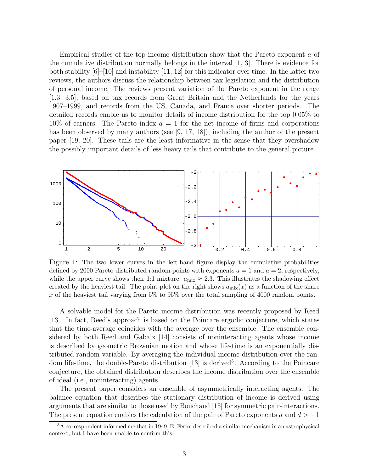Empirical studies of the top income distribution show that the Pareto exponent a of the cumulative distribution normally belongs in the interval [1, 3]. There is evidence for both stability [6]–[10] and instability [11, 12] for this indicator over time. In the latter two reviews, the authors discuss the relationship between tax legislation and the distribution of personal income. The reviews present variation of the Pareto exponent in the range [1.3, 3.5], based on tax records from Great Britain and the Netherlands for the years 1907–1999, and records from the US, Canada, and France over shorter periods. The detailed records enable us to monitor details of income distribution for the top 0.05% to  $10\%$  of earners. The Pareto index  $a = 1$  for the net income of firms and corporations has been observed by many authors (see [9, 17, 18]), including the author of the present paper [19, 20]. These tails are the least informative in the sense that they overshadow the possibly important details of less heavy tails that contribute to the general picture.



Figure 1: The two lower curves in the left-hand figure display the cumulative probabilities defined by 2000 Pareto-distributed random points with exponents  $a = 1$  and  $a = 2$ , respectively, while the upper curve shows their 1:1 mixture:  $a_{\text{mix}} \approx 2.3$ . This illustrates the shadowing effect created by the heaviest tail. The point-plot on the right shows  $a_{mix}(x)$  as a function of the share x of the heaviest tail varying from  $5\%$  to  $95\%$  over the total sampling of 4000 random points.

A solvable model for the Pareto income distribution was recently proposed by Reed [13]. In fact, Reed's approach is based on the Poincare ergodic conjecture, which states that the time-average coincides with the average over the ensemble. The ensemble considered by both Reed and Gabaix [14] consists of noninteracting agents whose income is described by geometric Brownian motion and whose life-time is an exponentially distributed random variable. By averaging the individual income distribution over the random life-time, the double-Pareto distribution [13] is derived<sup>3</sup>. According to the Poincare conjecture, the obtained distribution describes the income distribution over the ensemble of ideal (i.e., noninteracting) agents.

The present paper considers an ensemble of asymmetrically interacting agents. The balance equation that describes the stationary distribution of income is derived using arguments that are similar to those used by Bouchaud [15] for symmetric pair-interactions. The present equation enables the calculation of the pair of Pareto exponents a and  $d > -1$ 

 $3A$  correspondent informed me that in 1949, E. Fermi described a similar mechanism in an astrophysical context, but I have been unable to confirm this.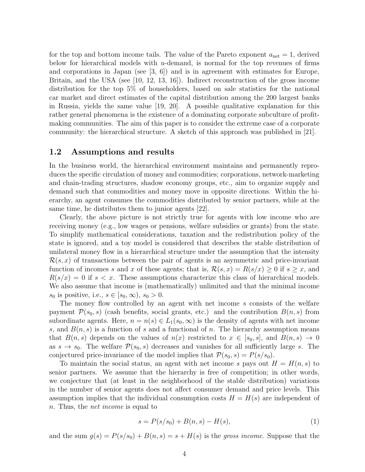for the top and bottom income tails. The value of the Pareto exponent  $a_{\text{net}} = 1$ , derived below for hierarchical models with  $u$ -demand, is normal for the top revenues of firms and corporations in Japan (see [3, 6]) and is in agreement with estimates for Europe, Britain, and the USA (see [10, 12, 13, 16]). Indirect reconstruction of the gross income distribution for the top 5% of householders, based on sale statistics for the national car market and direct estimates of the capital distribution among the 200 largest banks in Russia, yields the same value [19, 20]. A possible qualitative explanation for this rather general phenomena is the existence of a dominating corporate subculture of profitmaking communities. The aim of this paper is to consider the extreme case of a corporate community: the hierarchical structure. A sketch of this approach was published in [21].

### 1.2 Assumptions and results

In the business world, the hierarchical environment maintains and permanently reproduces the specific circulation of money and commodities; corporations, network-marketing and chain-trading structures, shadow economy groups, etc., aim to organize supply and demand such that commodities and money move in opposite directions. Within the hierarchy, an agent consumes the commodities distributed by senior partners, while at the same time, he distributes them to junior agents [22].

Clearly, the above picture is not strictly true for agents with low income who are receiving money (e.g., low wages or pensions, welfare subsidies or grants) from the state. To simplify mathematical considerations, taxation and the redistribution policy of the state is ignored, and a toy model is considered that describes the stable distribution of unilateral money flow in a hierarchical structure under the assumption that the intensity  $\mathcal{R}(s, x)$  of transactions between the pair of agents is an asymmetric and price-invariant function of incomes s and x of these agents; that is,  $\mathcal{R}(s, x) = R(s/x) \geq 0$  if  $s \geq x$ , and  $R(s/x) = 0$  if  $s < x$ . These assumptions characterize this class of hierarchical models. We also assume that income is (mathematically) unlimited and that the minimal income  $s_0$  is positive, i.e.,  $s \in [s_0, \infty), s_0 > 0$ .

The money flow controlled by an agent with net income s consists of the welfare payment  $\mathcal{P}(s_0, s)$  (cash benefits, social grants, etc.) and the contribution  $B(n, s)$  from subordinate agents. Here,  $n = n(s) \in L_1(s_0, \infty)$  is the density of agents with net income s, and  $B(n, s)$  is a function of s and a functional of n. The hierarchy assumption means that  $B(n, s)$  depends on the values of  $n(x)$  restricted to  $x \in [s_0, s]$ , and  $B(n, s) \to 0$ as  $s \to s_0$ . The welfare  $\mathcal{P}(s_0, s)$  decreases and vanishes for all sufficiently large s. The conjectured price-invariance of the model implies that  $\mathcal{P}(s_0, s) = P(s/s_0)$ .

To maintain the social status, an agent with net income s pays out  $H = H(n, s)$  to senior partners. We assume that the hierarchy is free of competition; in other words, we conjecture that (at least in the neighborhood of the stable distribution) variations in the number of senior agents does not affect consumer demand and price levels. This assumption implies that the individual consumption costs  $H = H(s)$  are independent of n. Thus, the net income is equal to

$$
s = P(s/s_0) + B(n, s) - H(s),
$$
\n(1)

and the sum  $q(s) = P(s/s_0) + B(n, s) = s + H(s)$  is the gross income. Suppose that the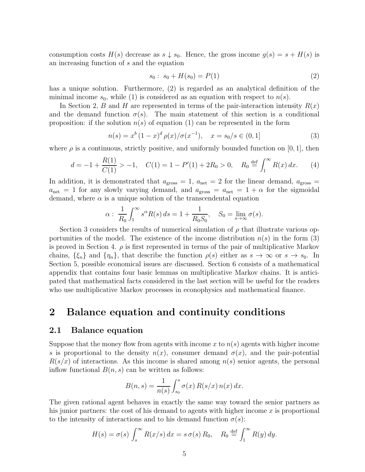consumption costs  $H(s)$  decrease as  $s \downarrow s_0$ . Hence, the gross income  $g(s) = s + H(s)$  is an increasing function of s and the equation

$$
s_0: s_0 + H(s_0) = P(1) \tag{2}
$$

has a unique solution. Furthermore, (2) is regarded as an analytical definition of the minimal income  $s_0$ , while (1) is considered as an equation with respect to  $n(s)$ .

In Section 2, B and H are represented in terms of the pair-interaction intensity  $R(x)$ and the demand function  $\sigma(s)$ . The main statement of this section is a conditional proposition: if the solution  $n(s)$  of equation (1) can be represented in the form

$$
n(s) = x^{b} (1-x)^{d} \rho(x) / \sigma(x^{-1}), \quad x = s_{0} / s \in (0,1]
$$
 (3)

where  $\rho$  is a continuous, strictly positive, and uniformly bounded function on [0, 1], then

$$
d = -1 + \frac{R(1)}{C(1)} > -1, \quad C(1) = 1 - P'(1) + 2R_0 > 0, \quad R_0 \stackrel{\text{def}}{=} \int_1^\infty R(x) \, dx. \tag{4}
$$

In addition, it is demonstrated that  $a_{\text{gross}} = 1$ ,  $a_{\text{net}} = 2$  for the linear demand,  $a_{\text{gross}} =$  $a_{\text{net}} = 1$  for any slowly varying demand, and  $a_{\text{gross}} = a_{\text{net}} = 1 + \alpha$  for the sigmoidal demand, where  $\alpha$  is a unique solution of the transcendental equation

$$
\alpha: \frac{1}{R_0} \int_1^{\infty} s^{\alpha} R(s) ds = 1 + \frac{1}{R_0 S_0}, \quad S_0 = \lim_{s \to \infty} \sigma(s).
$$

Section 3 considers the results of numerical simulation of  $\rho$  that illustrate various opportunities of the model. The existence of the income distribution  $n(s)$  in the form (3) is proved in Section 4.  $\rho$  is first represented in terms of the pair of multiplicative Markov chains,  $\{\xi_n\}$  and  $\{\eta_n\}$ , that describe the function  $\rho(s)$  either as  $s \to \infty$  or  $s \to s_0$ . In Section 5, possible economical issues are discussed. Section 6 consists of a mathematical appendix that contains four basic lemmas on multiplicative Markov chains. It is anticipated that mathematical facts considered in the last section will be useful for the readers who use multiplicative Markov processes in econophysics and mathematical finance.

### 2 Balance equation and continuity conditions

#### 2.1 Balance equation

Suppose that the money flow from agents with income x to  $n(s)$  agents with higher income s is proportional to the density  $n(x)$ , consumer demand  $\sigma(x)$ , and the pair-potential  $R(s/x)$  of interactions. As this income is shared among  $n(s)$  senior agents, the personal inflow functional  $B(n, s)$  can be written as follows:

$$
B(n,s) = \frac{1}{n(s)} \int_{s_0}^s \sigma(x) R(s/x) n(x) dx.
$$

The given rational agent behaves in exactly the same way toward the senior partners as his junior partners: the cost of his demand to agents with higher income  $x$  is proportional to the intensity of interactions and to his demand function  $\sigma(s)$ :

$$
H(s) = \sigma(s) \int_s^{\infty} R(x/s) dx = s \sigma(s) R_0, \quad R_0 \stackrel{\text{def}}{=} \int_1^{\infty} R(y) dy.
$$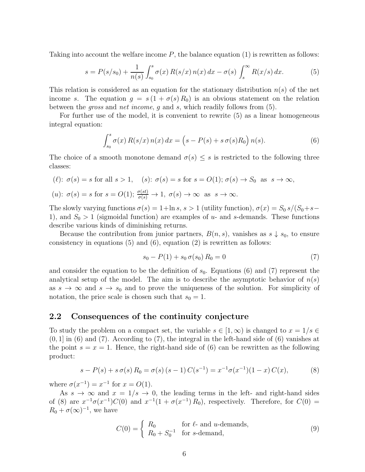Taking into account the welfare income P, the balance equation (1) is rewritten as follows:

$$
s = P(s/s_0) + \frac{1}{n(s)} \int_{s_0}^s \sigma(x) R(s/x) n(x) dx - \sigma(s) \int_s^\infty R(x/s) dx.
$$
 (5)

This relation is considered as an equation for the stationary distribution  $n(s)$  of the net income s. The equation  $g = s(1 + \sigma(s) R_0)$  is an obvious statement on the relation between the gross and net income, g and s, which readily follows from (5).

For further use of the model, it is convenient to rewrite (5) as a linear homogeneous integral equation:

$$
\int_{s_0}^s \sigma(x) R(s/x) n(x) dx = \left(s - P(s) + s \sigma(s) R_0\right) n(s).
$$
 (6)

The choice of a smooth monotone demand  $\sigma(s) \leq s$  is restricted to the following three classes:

$$
\begin{aligned}\n(\ell): \ \sigma(s) &= s \text{ for all } s > 1, \\
(u): \ \sigma(s) &= s \text{ for } s = O(1); \\
\sigma(s) &= s \text{ for } s = O(1); \\
\frac{\sigma(st)}{\sigma(s)} & \to 1, \\
\sigma(s) & \to \infty \text{ as } s \to \infty.\n\end{aligned}
$$

The slowly varying functions  $\sigma(s) = 1 + \ln s$ ,  $s > 1$  (utility function),  $\sigma(x) = S_0 s/(S_0 + s -$ 1), and  $S_0 > 1$  (sigmoidal function) are examples of u- and s-demands. These functions describe various kinds of diminishing returns.

Because the contribution from junior partners,  $B(n, s)$ , vanishes as  $s \downarrow s_0$ , to ensure consistency in equations  $(5)$  and  $(6)$ , equation  $(2)$  is rewritten as follows:

$$
s_0 - P(1) + s_0 \sigma(s_0) R_0 = 0 \tag{7}
$$

and consider the equation to be the definition of  $s_0$ . Equations (6) and (7) represent the analytical setup of the model. The aim is to describe the asymptotic behavior of  $n(s)$ as  $s \to \infty$  and  $s \to s_0$  and to prove the uniqueness of the solution. For simplicity of notation, the price scale is chosen such that  $s_0 = 1$ .

#### 2.2 Consequences of the continuity conjecture

To study the problem on a compact set, the variable  $s \in [1,\infty)$  is changed to  $x = 1/s \in$  $(0, 1]$  in (6) and (7). According to (7), the integral in the left-hand side of (6) vanishes at the point  $s = x = 1$ . Hence, the right-hand side of (6) can be rewritten as the following product:

$$
s - P(s) + s \sigma(s) R_0 = \sigma(s) (s - 1) C(s^{-1}) = x^{-1} \sigma(x^{-1}) (1 - x) C(x), \tag{8}
$$

where  $\sigma(x^{-1}) = x^{-1}$  for  $x = O(1)$ .

As  $s \to \infty$  and  $x = 1/s \to 0$ , the leading terms in the left- and right-hand sides of (8) are  $x^{-1}\sigma(x^{-1})C(0)$  and  $x^{-1}(1+\sigma(x^{-1})R_0)$ , respectively. Therefore, for  $C(0)$  =  $R_0 + \sigma(\infty)^{-1}$ , we have

$$
C(0) = \begin{cases} R_0 & \text{for } \ell \text{- and } u \text{-demands,} \\ R_0 + S_0^{-1} & \text{for } s \text{-demand,} \end{cases}
$$
 (9)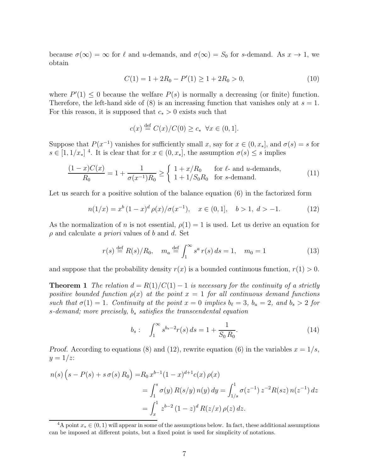because  $\sigma(\infty) = \infty$  for  $\ell$  and u-demands, and  $\sigma(\infty) = S_0$  for s-demand. As  $x \to 1$ , we obtain

$$
C(1) = 1 + 2R_0 - P'(1) \ge 1 + 2R_0 > 0,
$$
\n(10)

where  $P'(1) \leq 0$  because the welfare  $P(s)$  is normally a decreasing (or finite) function. Therefore, the left-hand side of  $(8)$  is an increasing function that vanishes only at  $s = 1$ . For this reason, it is supposed that  $c_* > 0$  exists such that

$$
c(x) \stackrel{\text{def}}{=} C(x)/C(0) \ge c_* \quad \forall x \in (0,1].
$$

Suppose that  $P(x^{-1})$  vanishes for sufficiently small x, say for  $x \in (0, x_*]$ , and  $\sigma(s) = s$  for  $s \in [1, 1/x_*]$ <sup>4</sup>. It is clear that for  $x \in (0, x_*]$ , the assumption  $\sigma(s) \leq s$  implies

$$
\frac{(1-x)C(x)}{R_0} = 1 + \frac{1}{\sigma(x^{-1})R_0} \ge \begin{cases} 1 + x/R_0 & \text{for } \ell \text{- and } u \text{-demands,} \\ 1 + 1/S_0R_0 & \text{for } s \text{-demand.} \end{cases}
$$
(11)

Let us search for a positive solution of the balance equation  $(6)$  in the factorized form

$$
n(1/x) = x^{b} (1-x)^{d} \rho(x) / \sigma(x^{-1}), \quad x \in (0,1], \quad b > 1, d > -1.
$$
 (12)

As the normalization of n is not essential,  $\rho(1) = 1$  is used. Let us derive an equation for  $\rho$  and calculate a priori values of b and d. Set

$$
r(s) \stackrel{\text{def}}{=} R(s)/R_0, \quad m_a \stackrel{\text{def}}{=} \int_1^\infty s^a \, r(s) \, ds = 1, \quad m_0 = 1 \tag{13}
$$

and suppose that the probability density  $r(x)$  is a bounded continuous function,  $r(1) > 0$ .

**Theorem 1** The relation  $d = R(1)/C(1) - 1$  is necessary for the continuity of a strictly positive bounded function  $\rho(x)$  at the point  $x = 1$  for all continuous demand functions such that  $\sigma(1) = 1$ . Continuity at the point  $x = 0$  implies  $b_{\ell} = 3$ ,  $b_u = 2$ , and  $b_s > 2$  for s-demand; more precisely,  $b_s$  satisfies the transcendental equation

$$
b_s: \quad \int_1^\infty s^{b_s - 2} r(s) \, ds = 1 + \frac{1}{S_0 R_0}.\tag{14}
$$

Proof. According to equations (8) and (12), rewrite equation (6) in the variables  $x = 1/s$ ,  $y=1/z$ :

$$
n(s) (s - P(s) + s \sigma(s) R_0) = R_0 x^{b-1} (1 - x)^{d+1} c(x) \rho(x)
$$
  
=  $\int_1^s \sigma(y) R(s/y) n(y) dy = \int_{1/s}^1 \sigma(z^{-1}) z^{-2} R(sz) n(z^{-1}) dz$   
=  $\int_x^1 z^{b-2} (1 - z)^d R(z/x) \rho(z) dz$ .

<sup>&</sup>lt;sup>4</sup>A point  $x_* \in (0, 1)$  will appear in some of the assumptions below. In fact, these additional assumptions can be imposed at different points, but a fixed point is used for simplicity of notations.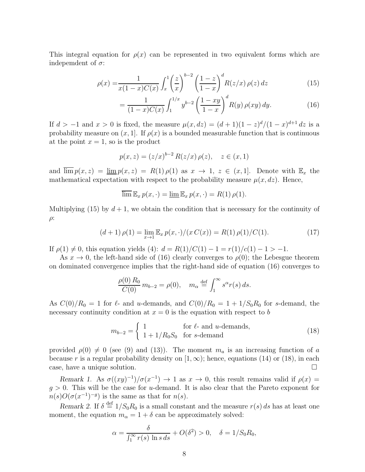This integral equation for  $\rho(x)$  can be represented in two equivalent forms which are independent of  $\sigma$ :

$$
\rho(x) = \frac{1}{x(1-x)C(x)} \int_x^1 \left(\frac{z}{x}\right)^{b-2} \left(\frac{1-z}{1-x}\right)^d R(z/x) \rho(z) dz
$$
\n(15)

$$
= \frac{1}{(1-x)C(x)} \int_{1}^{1/x} y^{b-2} \left(\frac{1-xy}{1-x}\right)^d R(y) \rho(xy) dy.
$$
 (16)

If  $d > -1$  and  $x > 0$  is fixed, the measure  $\mu(x, dz) = (d+1)(1-z)^{d}/(1-x)^{d+1} dz$  is a probability measure on  $(x, 1]$ . If  $\rho(x)$  is a bounded measurable function that is continuous at the point  $x = 1$ , so is the product

$$
p(x, z) = (z/x)^{b-2} R(z/x) \rho(z), \quad z \in (x, 1)
$$

and  $\overline{\lim} p(x, z) = \underline{\lim} p(x, z) = R(1) \rho(1)$  as  $x \to 1$ ,  $z \in (x, 1]$ . Denote with  $\mathbb{E}_x$  the mathematical expectation with respect to the probability measure  $\mu(x, dz)$ . Hence,

$$
\overline{\lim} \, \mathbb{E}_x \, p(x, \cdot) = \underline{\lim} \, \mathbb{E}_x \, p(x, \cdot) = R(1) \, \rho(1).
$$

Multiplying (15) by  $d+1$ , we obtain the condition that is necessary for the continuity of ρ:

$$
(d+1)\,\rho(1) = \lim_{x \to 1} \mathbb{E}_x \, p(x, \cdot) / (x \, C(x)) = R(1) \, \rho(1) / C(1). \tag{17}
$$

If  $\rho(1) \neq 0$ , this equation yields (4):  $d = R(1)/C(1) - 1 = r(1)/c(1) - 1 > -1$ .

As  $x \to 0$ , the left-hand side of (16) clearly converges to  $\rho(0)$ ; the Lebesgue theorem on dominated convergence implies that the right-hand side of equation (16) converges to

$$
\frac{\rho(0) R_0}{C(0)} m_{b-2} = \rho(0), \quad m_\alpha \stackrel{\text{def}}{=} \int_1^\infty s^\alpha r(s) ds.
$$

As  $C(0)/R_0 = 1$  for  $\ell$ - and u-demands, and  $C(0)/R_0 = 1 + 1/S_0R_0$  for s-demand, the necessary continuity condition at  $x = 0$  is the equation with respect to b

$$
m_{b-2} = \begin{cases} 1 & \text{for } \ell \text{- and } u \text{-demands,} \\ 1 + 1/R_0 S_0 & \text{for } s \text{-demand} \end{cases}
$$
 (18)

provided  $\rho(0) \neq 0$  (see (9) and (13)). The moment  $m_a$  is an increasing function of a because r is a regular probability density on  $[1, \infty)$ ; hence, equations (14) or (18), in each case, have a unique solution.

Remark 1. As  $\sigma((xy)^{-1})/\sigma(x^{-1}) \to 1$  as  $x \to 0$ , this result remains valid if  $\rho(x) =$  $q > 0$ . This will be the case for *u*-demand. It is also clear that the Pareto exponent for  $n(s)O(\sigma(x^{-1})^{-g})$  is the same as that for  $n(s)$ .

Remark 2. If  $\delta \stackrel{\text{def}}{=} 1/S_0R_0$  is a small constant and the measure  $r(s) ds$  has at least one moment, the equation  $m_{\alpha} = 1 + \delta$  can be approximately solved:

$$
\alpha = \frac{\delta}{\int_1^\infty r(s) \ln s \, ds} + O(\delta^2) > 0, \quad \delta = 1/S_0 R_0,
$$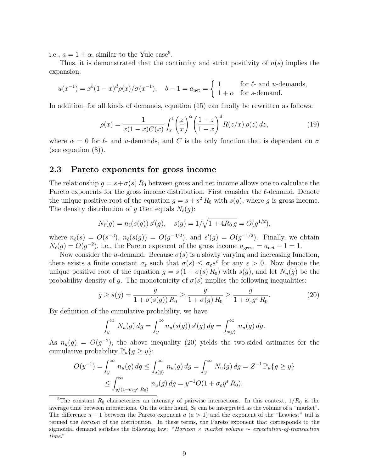i.e.,  $a = 1 + \alpha$ , similar to the Yule case<sup>5</sup>.

Thus, it is demonstrated that the continuity and strict positivity of  $n(s)$  implies the expansion:

$$
u(x^{-1}) = x^{b}(1-x)^{d} \rho(x) / \sigma(x^{-1}), \quad b - 1 = a_{\text{net}} = \begin{cases} 1 & \text{for } \ell \text{- and } u \text{-demand,} \\ 1 + \alpha & \text{for } s \text{-demand.} \end{cases}
$$

In addition, for all kinds of demands, equation (15) can finally be rewritten as follows:

$$
\rho(x) = \frac{1}{x(1-x)C(x)} \int_x^1 \left(\frac{z}{x}\right)^\alpha \left(\frac{1-z}{1-x}\right)^d R(z/x) \rho(z) dz,
$$
\n(19)

where  $\alpha = 0$  for  $\ell$ - and u-demands, and C is the only function that is dependent on  $\sigma$ (see equation (8)).

### 2.3 Pareto exponents for gross income

The relationship  $g = s + \sigma(s) R_0$  between gross and net income allows one to calculate the Pareto exponents for the gross income distribution. First consider the ℓ-demand. Denote the unique positive root of the equation  $g = s + s^2 R_0$  with  $s(g)$ , where g is gross income. The density distribution of g then equals  $N_{\ell}(g)$ :

$$
N_{\ell}(g) = n_{\ell}(s(g)) s'(g), \quad s(g) = 1/\sqrt{1 + 4R_0 g} = O(g^{1/2}),
$$

where  $n_{\ell}(s) = O(s^{-3}), n_{\ell}(s(g)) = O(g^{-3/2}),$  and  $s'(g) = O(g^{-1/2}).$  Finally, we obtain  $N_{\ell}(g) = O(g^{-2})$ , i.e., the Pareto exponent of the gross income  $a_{\text{gross}} = a_{\text{net}} - 1 = 1$ .

Now consider the u-demand. Because  $\sigma(s)$  is a slowly varying and increasing function, there exists a finite constant  $\sigma_{\varepsilon}$  such that  $\sigma(s) \leq \sigma_{\varepsilon} s^{\varepsilon}$  for any  $\varepsilon > 0$ . Now denote the unique positive root of the equation  $g = s(1 + \sigma(s) R_0)$  with  $s(g)$ , and let  $N_u(g)$  be the probability density of q. The monotonicity of  $\sigma(s)$  implies the following inequalities:

$$
g \ge s(g) = \frac{g}{1 + \sigma(s(g)) R_0} \ge \frac{g}{1 + \sigma(g) R_0} \ge \frac{g}{1 + \sigma_{\varepsilon} g^{\varepsilon} R_0}.
$$
 (20)

By definition of the cumulative probability, we have

$$
\int_y^\infty N_u(g) \, dg = \int_y^\infty n_u(s(g)) \, s'(g) \, dg = \int_{s(y)}^\infty n_u(g) \, dg.
$$

As  $n_u(g) = O(g^{-2})$ , the above inequality (20) yields the two-sided estimates for the cumulative probability  $\mathbb{P}_u\{g \geq y\}$ :

$$
O(y^{-1}) = \int_y^{\infty} n_u(g) dg \le \int_{s(y)}^{\infty} n_u(g) dg = \int_y^{\infty} N_u(g) dg = Z^{-1} \mathbb{P}_u\{g \ge y\}
$$
  

$$
\le \int_{y/(1+\sigma_{\varepsilon}y^{\varepsilon} R_0)}^{\infty} n_u(g) dg = y^{-1} O(1 + \sigma_{\varepsilon}y^{\varepsilon} R_0),
$$

<sup>&</sup>lt;sup>5</sup>The constant  $R_0$  characterizes an intensity of pairwise interactions. In this context,  $1/R_0$  is the average time between interactions. On the other hand,  $S_0$  can be interpreted as the volume of a "market". The difference  $a - 1$  between the Pareto exponent  $a(a > 1)$  and the exponent of the "heaviest" tail is termed the horizon of the distribution. In these terms, the Pareto exponent that corresponds to the sigmoidal demand satisfies the following law: "Horizon × market volume ∼ expectation-of-transaction time."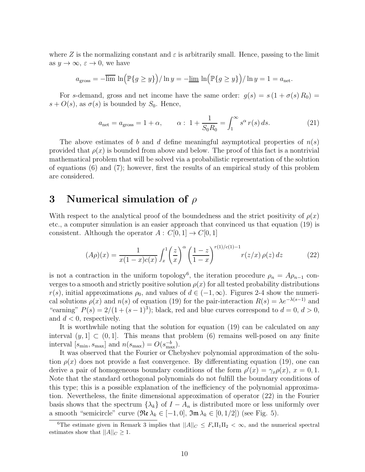where Z is the normalizing constant and  $\varepsilon$  is arbitrarily small. Hence, passing to the limit as  $y \to \infty$ ,  $\varepsilon \to 0$ , we have

$$
a_{\text{gross}} = -\overline{\lim} \ln \left( \mathbb{P}\{g \ge y\} \right) / \ln y = -\underline{\lim} \ln \left( \mathbb{P}\{g \ge y\} \right) / \ln y = 1 = a_{\text{net}}.
$$

For s-demand, gross and net income have the same order:  $g(s) = s(1 + \sigma(s) R_0)$  $s + O(s)$ , as  $\sigma(s)$  is bounded by  $S_0$ . Hence,

$$
a_{\text{net}} = a_{\text{gross}} = 1 + \alpha, \qquad \alpha: 1 + \frac{1}{S_0 R_0} = \int_1^\infty s^\alpha r(s) ds.
$$
 (21)

The above estimates of b and d define meaningful asymptotical properties of  $n(s)$ provided that  $\rho(x)$  is bounded from above and below. The proof of this fact is a nontrivial mathematical problem that will be solved via a probabilistic representation of the solution of equations (6) and (7); however, first the results of an empirical study of this problem are considered.

### 3 Numerical simulation of  $\rho$

With respect to the analytical proof of the boundedness and the strict positivity of  $\rho(x)$ etc., a computer simulation is an easier approach that convinced us that equation (19) is consistent. Although the operator  $A: C[0,1] \to C[0,1]$ 

$$
(A\rho)(x) = \frac{1}{x(1-x)c(x)} \int_x^1 \left(\frac{z}{x}\right)^\alpha \left(\frac{1-z}{1-x}\right)^{r(1)/c(1)-1} r(z/x) \rho(z) dz \tag{22}
$$

is not a contraction in the uniform topology<sup>6</sup>, the iteration procedure  $\rho_n = A\rho_{n-1}$  converges to a smooth and strictly positive solution  $\rho(x)$  for all tested probability distributions  $r(s)$ , initial approximations  $\rho_0$ , and values of  $d \in (-1,\infty)$ . Figures 2-4 show the numerical solutions  $\rho(x)$  and  $n(s)$  of equation (19) for the pair-interaction  $R(s) = \lambda e^{-\lambda(s-1)}$  and "earning"  $P(s) = 2/(1 + (s-1)^3)$ ; black, red and blue curves correspond to  $d = 0$ ,  $d > 0$ , and  $d < 0$ , respectively.

It is worthwhile noting that the solution for equation (19) can be calculated on any interval  $(y, 1] \subset (0, 1]$ . This means that problem (6) remains well-posed on any finite interval  $[s_{\text{min}}, s_{\text{max}}]$  and  $n(s_{\text{max}}) = O(s_{\text{max}}^{-b})$ .

It was observed that the Fourier or Chebyshev polynomial approximation of the solution  $\rho(x)$  does not provide a fast convergence. By differentiating equation (19), one can derive a pair of homogeneous boundary conditions of the form  $\rho'(x) = \gamma_x \rho(x)$ ,  $x = 0, 1$ . Note that the standard orthogonal polynomials do not fulfill the boundary conditions of this type; this is a possible explanation of the inefficiency of the polynomial approximation. Nevertheless, the finite dimensional approximation of operator (22) in the Fourier basis shows that the spectrum  $\{\lambda_k\}$  of  $I - A_n$  is distributed more or less uniformly over a smooth "semicircle" curve  $(\Re \lambda_k \in [-1,0], \Im \mathfrak{m} \lambda_k \in [0,1/2])$  (see Fig. 5).

<sup>&</sup>lt;sup>6</sup>The estimate given in Remark 3 implies that  $||A||_C \leq F_* \Pi_1 \Pi_2 < \infty$ , and the numerical spectral estimates show that  $||A||_C \geq 1$ .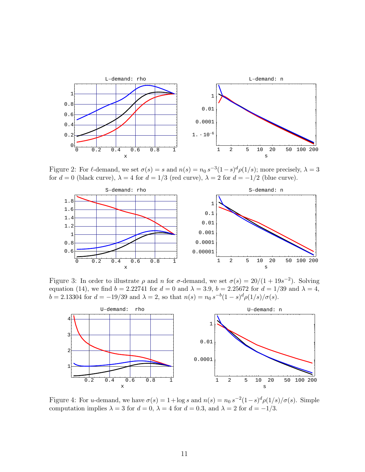

Figure 2: For  $\ell$ -demand, we set  $\sigma(s) = s$  and  $n(s) = n_0 s^{-3} (1-s)^d \rho(1/s)$ ; more precisely,  $\lambda = 3$ for  $d = 0$  (black curve),  $\lambda = 4$  for  $d = 1/3$  (red curve),  $\lambda = 2$  for  $d = -1/2$  (blue curve).



Figure 3: In order to illustrate  $\rho$  and n for  $\sigma$ -demand, we set  $\sigma(s) = 20/(1 + 19s^{-2})$ . Solving equation (14), we find  $b = 2.22741$  for  $d = 0$  and  $\lambda = 3.9$ ,  $b = 2.25672$  for  $d = 1/39$  and  $\lambda = 4$ ,  $b = 2.13304$  for  $d = -19/39$  and  $\lambda = 2$ , so that  $n(s) = n_0 s^{-b} (1 - s)^d \rho(1/s) / \sigma(s)$ .



Figure 4: For *u*-demand, we have  $\sigma(s) = 1 + \log s$  and  $n(s) = n_0 s^{-2} (1 - s)^d \rho(1/s) / \sigma(s)$ . Simple computation implies  $\lambda = 3$  for  $d = 0$ ,  $\lambda = 4$  for  $d = 0.3$ , and  $\lambda = 2$  for  $d = -1/3$ .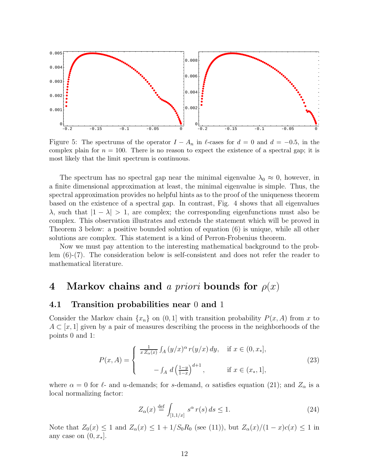

Figure 5: The spectrums of the operator  $I - A_n$  in  $\ell$ -cases for  $d = 0$  and  $d = -0.5$ , in the complex plain for  $n = 100$ . There is no reason to expect the existence of a spectral gap; it is most likely that the limit spectrum is continuous.

The spectrum has no spectral gap near the minimal eigenvalue  $\lambda_0 \approx 0$ , however, in a finite dimensional approximation at least, the minimal eigenvalue is simple. Thus, the spectral approximation provides no helpful hints as to the proof of the uniqueness theorem based on the existence of a spectral gap. In contrast, Fig. 4 shows that all eigenvalues  $\lambda$ , such that  $|1 - \lambda| > 1$ , are complex; the corresponding eigenfunctions must also be complex. This observation illustrates and extends the statement which will be proved in Theorem 3 below: a positive bounded solution of equation (6) is unique, while all other solutions are complex. This statement is a kind of Perron-Frobenius theorem.

Now we must pay attention to the interesting mathematical background to the problem (6)-(7). The consideration below is self-consistent and does not refer the reader to mathematical literature.

### 4 Markov chains and a priori bounds for  $\rho(x)$

### 4.1 Transition probabilities near 0 and 1

Consider the Markov chain  $\{x_n\}$  on  $(0, 1]$  with transition probability  $P(x, A)$  from x to  $A \subset [x, 1]$  given by a pair of measures describing the process in the neighborhoods of the points 0 and 1:

$$
P(x, A) = \begin{cases} \frac{1}{x Z_{\alpha}(x)} \int_A (y/x)^{\alpha} r(y/x) dy, & \text{if } x \in (0, x_*], \\ - \int_A d \left(\frac{1-y}{1-x}\right)^{d+1}, & \text{if } x \in (x_*, 1], \end{cases}
$$
(23)

where  $\alpha = 0$  for  $\ell$ - and u-demands; for s-demand,  $\alpha$  satisfies equation (21); and  $Z_{\alpha}$  is a local normalizing factor:

$$
Z_{\alpha}(x) \stackrel{\text{def}}{=} \int_{[1,1/x]} s^{\alpha} r(s) ds \le 1.
$$
 (24)

Note that  $Z_0(x) \leq 1$  and  $Z_\alpha(x) \leq 1 + 1/S_0R_0$  (see (11)), but  $Z_\alpha(x)/(1-x)c(x) \leq 1$  in any case on  $(0, x_*]$ .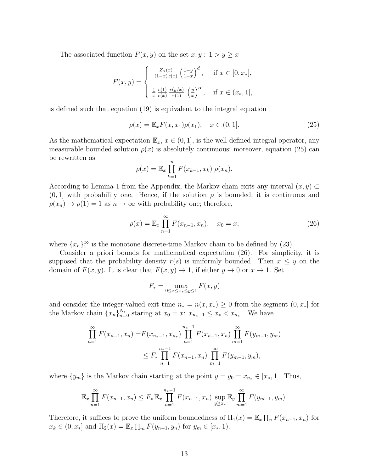The associated function  $F(x, y)$  on the set  $x, y : 1 > y \geq x$ 

$$
F(x,y) = \begin{cases} \frac{Z_{\alpha}(x)}{(1-x)c(x)} \left(\frac{1-y}{1-x}\right)^d, & \text{if } x \in [0, x_*],\\ \frac{1}{x} \frac{c(1)}{c(x)} \frac{r(y/x)}{r(1)} \left(\frac{y}{x}\right)^{\alpha}, & \text{if } x \in (x_*, 1], \end{cases}
$$

is defined such that equation (19) is equivalent to the integral equation

$$
\rho(x) = \mathbb{E}_x F(x, x_1) \rho(x_1), \quad x \in (0, 1]. \tag{25}
$$

As the mathematical expectation  $\mathbb{E}_x$ ,  $x \in (0,1]$ , is the well-defined integral operator, any measurable bounded solution  $\rho(x)$  is absolutely continuous; moreover, equation (25) can be rewritten as

$$
\rho(x) = \mathbb{E}_x \prod_{k=1}^n F(x_{k-1}, x_k) \; \rho(x_n).
$$

According to Lemma 1 from the Appendix, the Markov chain exits any interval  $(x, y)$  $(0, 1]$  with probability one. Hence, if the solution  $\rho$  is bounded, it is continuous and  $\rho(x_n) \to \rho(1) = 1$  as  $n \to \infty$  with probability one; therefore,

$$
\rho(x) = \mathbb{E}_x \prod_{n=1}^{\infty} F(x_{n-1}, x_n), \quad x_0 = x,\tag{26}
$$

where  $\{x_n\}_1^{\infty}$  is the monotone discrete-time Markov chain to be defined by (23).

Consider a priori bounds for mathematical expectation (26). For simplicity, it is supposed that the probability density  $r(s)$  is uniformly bounded. Then  $x \leq y$  on the domain of  $F(x, y)$ . It is clear that  $F(x, y) \to 1$ , if either  $y \to 0$  or  $x \to 1$ . Set

$$
F_* = \max_{0 \le x \le x_* \le y \le 1} F(x, y)
$$

and consider the integer-valued exit time  $n_* = n(x, x_*) \geq 0$  from the segment  $(0, x_*)$  for the Markov chain  ${x_n}_{n=0}^{N_*}$  staring at  $x_0 = x: x_{n_*-1} \leq x_* < x_{n_*}$ . We have

$$
\prod_{n=1}^{\infty} F(x_{n-1}, x_n) = F(x_{n-1}, x_{n}) \prod_{n=1}^{n_{*}-1} F(x_{n-1}, x_n) \prod_{m=1}^{\infty} F(y_{m-1}, y_m)
$$
  

$$
\leq F_* \prod_{n=1}^{n_{*}-1} F(x_{n-1}, x_n) \prod_{m=1}^{\infty} F(y_{m-1}, y_m),
$$

where  $\{y_m\}$  is the Markov chain starting at the point  $y = y_0 = x_{n_*} \in [x_*, 1]$ . Thus,

$$
\mathbb{E}_x \prod_{n=1}^{\infty} F(x_{n-1}, x_n) \leq F_* \mathbb{E}_x \prod_{n=1}^{n_*-1} F(x_{n-1}, x_n) \sup_{y \geq x_*} \mathbb{E}_y \prod_{m=1}^{\infty} F(y_{m-1}, y_m).
$$

Therefore, it suffices to prove the uniform boundedness of  $\Pi_1(x) = \mathbb{E}_x \prod_n F(x_{n-1}, x_n)$  for  $x_k \in (0, x_*]$  and  $\Pi_2(x) = \mathbb{E}_x \prod_m F(y_{n-1}, y_n)$  for  $y_m \in [x_*, 1)$ .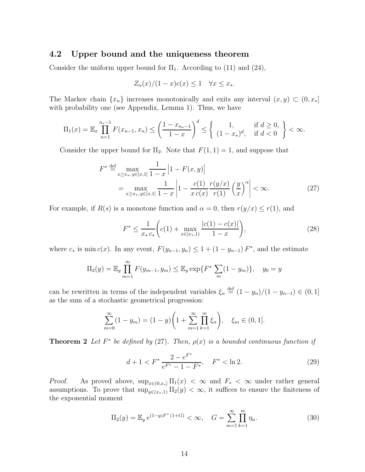### 4.2 Upper bound and the uniqueness theorem

Consider the uniform upper bound for  $\Pi_1$ . According to (11) and (24),

$$
Z_{\alpha}(x)/(1-x)c(x) \le 1 \quad \forall x \le x_*.
$$

The Markov chain  $\{x_n\}$  increases monotonically and exits any interval  $(x, y) \subset (0, x_*]$ with probability one (see Appendix, Lemma 1). Thus, we have

$$
\Pi_1(x) = \mathbb{E}_x \prod_{n=1}^{n_*-1} F(x_{n-1}, x_n) \le \left(\frac{1 - x_{n_*-1}}{1 - x}\right)^d \le \left\{ \begin{array}{ll} 1, & \text{if } d \ge 0, \\ (1 - x_*)^d, & \text{if } d < 0 \end{array} \right\} < \infty.
$$

Consider the upper bound for  $\Pi_2$ . Note that  $F(1, 1) = 1$ , and suppose that

$$
F^* \stackrel{\text{def}}{=} \max_{x \ge x_*, y \in [x, 1]} \frac{1}{1 - x} \left| 1 - F(x, y) \right|
$$
  
= 
$$
\max_{x \ge x_*, y \in [x, 1]} \frac{1}{1 - x} \left| 1 - \frac{c(1)}{x c(x)} \frac{r(y/x)}{r(1)} \left( \frac{y}{x} \right)^{\alpha} \right| < \infty.
$$
 (27)

For example, if  $R(s)$  is a monotone function and  $\alpha = 0$ , then  $r(y/x) \le r(1)$ , and

$$
F^* \le \frac{1}{x_* c_*} \left( c(1) + \max_{x \in [x_*, 1)} \frac{|c(1) - c(x)|}{1 - x} \right),\tag{28}
$$

where  $c_*$  is min  $c(x)$ . In any event,  $F(y_{n-1}, y_n) \leq 1 + (1 - y_{n-1}) F^*$ , and the estimate

$$
\Pi_2(y) = \mathbb{E}_y \prod_{m=1}^{\infty} F(y_{m-1}, y_m) \le \mathbb{E}_y \exp\{F^* \sum_m (1 - y_m)\}, \quad y_0 = y
$$

can be rewritten in terms of the independent variables  $\xi_n \stackrel{\text{def}}{=} (1 - y_n)/(1 - y_{n-1}) \in (0, 1]$ as the sum of a stochastic geometrical progression:

$$
\sum_{m=0}^{\infty} (1 - y_m) = (1 - y) \left( 1 + \sum_{m=1}^{\infty} \prod_{k=1}^{m} \xi_n \right), \quad \xi_m \in (0, 1].
$$

**Theorem 2** Let  $F^*$  be defined by (27). Then,  $\rho(x)$  is a bounded continuous function if

$$
d+1 < F^* \frac{2 - e^{F^*}}{e^{F^*} - 1 - F^*}, \quad F^* < \ln 2. \tag{29}
$$

Proof. As proved above,  $\sup_{x \in (0,x_*]} \Pi_1(x) < \infty$  and  $F_* < \infty$  under rather general assumptions. To prove that  $\sup_{y \in (x_*,1)} \Pi_2(y) < \infty$ , it suffices to ensure the finiteness of the exponential moment

$$
\Pi_2(y) = \mathbb{E}_y e^{(1-y)F^*(1+G)} < \infty, \quad G = \sum_{m=1}^{\infty} \prod_{k=1}^m \eta_k.
$$
 (30)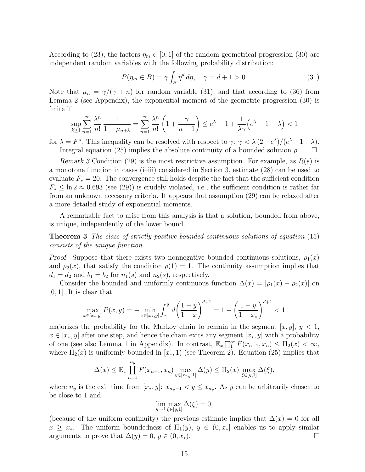According to (23), the factors  $\eta_m \in [0, 1]$  of the random geometrical progression (30) are independent random variables with the following probability distribution:

$$
P(\eta_m \in B) = \gamma \int_B \eta^d d\eta, \quad \gamma = d + 1 > 0. \tag{31}
$$

Note that  $\mu_n = \gamma/(\gamma + n)$  for random variable (31), and that according to (36) from Lemma 2 (see Appendix), the exponential moment of the geometric progression (30) is finite if

$$
\sup_{k\geq 1}\sum_{n=1}^{\infty}\frac{\lambda^n}{n!}\frac{1}{1-\mu_{n+k}}=\sum_{n=1}^{\infty}\frac{\lambda^n}{n!}\left(1+\frac{\gamma}{n+1}\right)\leq e^{\lambda}-1+\frac{1}{\lambda\gamma}\left(e^{\lambda}-1-\lambda\right)<1
$$

for  $\lambda = F^*$ . This inequality can be resolved with respect to  $\gamma: \gamma < \lambda (2-e^{\lambda})/(e^{\lambda}-1-\lambda)$ . Integral equation (25) implies the absolute continuity of a bounded solution  $\rho$ .

Remark 3 Condition (29) is the most restrictive assumption. For example, as  $R(s)$  is a monotone function in cases (i–iii) considered in Section 3, estimate (28) can be used to evaluate  $F_* = 20$ . The convergence still holds despite the fact that the sufficient condition  $F_* \leq \ln 2 \approx 0.693$  (see (29)) is crudely violated, i.e., the sufficient condition is rather far from an unknown necessary criteria. It appears that assumption (29) can be relaxed after a more detailed study of exponential moments.

A remarkable fact to arise from this analysis is that a solution, bounded from above, is unique, independently of the lower bound.

Theorem 3 The class of strictly positive bounded continuous solutions of equation (15) consists of the unique function.

*Proof.* Suppose that there exists two nonnegative bounded continuous solutions,  $\rho_1(x)$ and  $\rho_2(x)$ , that satisfy the condition  $\rho(1) = 1$ . The continuity assumption implies that  $d_1 = d_2$  and  $b_1 = b_2$  for  $n_1(s)$  and  $n_2(s)$ , respectively.

Consider the bounded and uniformly continuous function  $\Delta(x) = |\rho_1(x) - \rho_2(x)|$  on  $[0, 1]$ . It is clear that

$$
\max_{x \in [x_*,y]} P(x,y) = -\min_{x \in [x_*,y]} \int_x^y d\left(\frac{1-y}{1-x}\right)^{d+1} = 1 - \left(\frac{1-y}{1-x_*}\right)^{d+1} < 1
$$

majorizes the probability for the Markov chain to remain in the segment  $[x, y], y < 1$ ,  $x \in [x_*, y]$  after one step, and hence the chain exits any segment  $[x_*, y]$  with a probability of one (see also Lemma 1 in Appendix). In contrast,  $\mathbb{E}_x \prod_{1}^{\infty} F(x_{n-1}, x_n) \leq \Pi_2(x) < \infty$ , where  $\Pi_2(x)$  is uniformly bounded in  $[x_*, 1)$  (see Theorem 2). Equation (25) implies that

$$
\Delta(x) \leq \mathbb{E}_x \prod_{n=1}^{n_y} F(x_{n-1}, x_n) \max_{y \in [x_{n_y}, 1]} \Delta(y) \leq \Pi_2(x) \max_{\xi \in [y, 1]} \Delta(\xi),
$$

where  $n_y$  is the exit time from  $[x_*, y]$ :  $x_{n_y-1} < y \leq x_{n_y}$ . As y can be arbitrarily chosen to be close to 1 and

$$
\lim_{y \to 1} \max_{\xi \in [y,1]} \Delta(\xi) = 0,
$$

(because of the uniform continuity) the previous estimate implies that  $\Delta(x) = 0$  for all  $x \geq x_*$ . The uniform boundedness of  $\Pi_1(y)$ ,  $y \in (0, x_*]$  enables us to apply similar arguments to prove that  $\Delta(y) = 0, y \in (0, x_*)$ .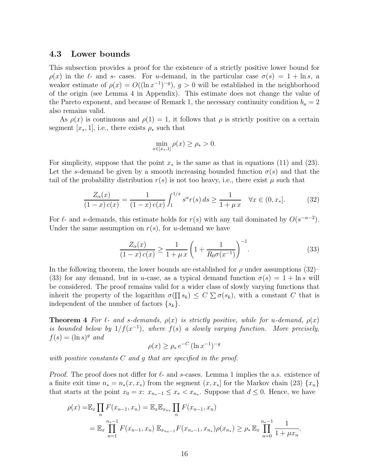### 4.3 Lower bounds

This subsection provides a proof for the existence of a strictly positive lower bound for  $\rho(x)$  in the  $\ell$ - and s- cases. For u-demand, in the particular case  $\sigma(s) = 1 + \ln s$ , a weaker estimate of  $\rho(x) = O((\ln x^{-1})^{-g}), g > 0$  will be established in the neighborhood of the origin (see Lemma 4 in Appendix). This estimate does not change the value of the Pareto exponent, and because of Remark 1, the necessary continuity condition  $b_u = 2$ also remains valid.

As  $\rho(x)$  is continuous and  $\rho(1) = 1$ , it follows that  $\rho$  is strictly positive on a certain segment [ $x_*, 1$ ], i.e., there exists  $\rho_*$  such that

$$
\min_{x \in [x_*,1]} \rho(x) \ge \rho_* > 0.
$$

For simplicity, suppose that the point  $x_*$  is the same as that in equations (11) and (23). Let the s-demand be given by a smooth increasing bounded function  $\sigma(s)$  and that the tail of the probability distribution  $r(s)$  is not too heavy, i.e., there exist  $\mu$  such that

$$
\frac{Z_{\alpha}(x)}{(1-x)\,c(x)} = \frac{1}{(1-x)\,c(x)} \int_{1}^{1/x} s^{\alpha} r(s) \, ds \ge \frac{1}{1+\mu \, x} \quad \forall x \in (0, x_*]. \tag{32}
$$

For  $\ell$ - and s-demands, this estimate holds for  $r(s)$  with any tail dominated by  $O(s^{-\alpha-2})$ . Under the same assumption on  $r(s)$ , for u-demand we have

$$
\frac{Z_{\alpha}(x)}{(1-x)\,c(x)} \ge \frac{1}{1+\mu\,x} \left(1 + \frac{1}{R_0 \sigma(x^{-1})}\right)^{-1}.\tag{33}
$$

In the following theorem, the lower bounds are established for  $\rho$  under assumptions (32)– (33) for any demand, but in u-case, as a typical demand function  $\sigma(s) = 1 + \ln s$  will be considered. The proof remains valid for a wider class of slowly varying functions that inherit the property of the logarithm  $\sigma(\prod s_k) \leq C \sum \sigma(s_k)$ , with a constant C that is independent of the number of factors  $\{s_k\}$ .

**Theorem 4** For  $\ell$ - and s-demands,  $\rho(x)$  is strictly positive, while for u-demand,  $\rho(x)$ is bounded below by  $1/f(x^{-1})$ , where  $f(s)$  a slowly varying function. More precisely,  $f(s) = (\ln s)^g$  and

$$
\rho(x) \ge \rho_* \, e^{-C} \, (\ln x^{-1})^{-g}
$$

with positive constants C and g that are specified in the proof.

*Proof.* The proof does not differ for  $\ell$ - and s-cases. Lemma 1 implies the a.s. existence of a finite exit time  $n_* = n_*(x, x_*)$  from the segment  $(x, x_*)$  for the Markov chain (23)  $\{x_n\}$ that starts at the point  $x_0 = x: x_{n_*-1} \le x_* < x_{n_*}$ . Suppose that  $d \le 0$ . Hence, we have

$$
\rho(x) = \mathbb{E}_x \prod_n F(x_{n-1}, x_n) = \mathbb{E}_x \mathbb{E}_{x_{n_*}} \prod_n F(x_{n-1}, x_n)
$$
  
=  $\mathbb{E}_x \prod_{n=1}^{n_*-1} F(x_{n-1}, x_n) \mathbb{E}_{x_{n_*-1}} F(x_{n_*-1}, x_{n_*}) \rho(x_{n_*}) \ge \rho_* \mathbb{E}_x \prod_{n=0}^{n_*-1} \frac{1}{1 + \mu x_n}.$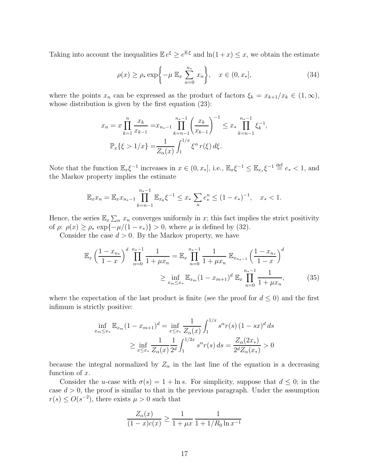Taking into account the inequalities  $\mathbb{E} e^{\xi} \ge e^{\mathbb{E} \xi}$  and  $\ln(1+x) \le x$ , we obtain the estimate

$$
\rho(x) \ge \rho_* \exp\left\{-\mu \mathbb{E}_x \sum_{n=0}^{n_*} x_n\right\}, \quad x \in (0, x_*],
$$
\n(34)

where the points  $x_n$  can be expressed as the product of factors  $\xi_k = x_{k+1}/x_k \in (1,\infty)$ , whose distribution is given by the first equation (23):

$$
x_n = x \prod_{k=1}^n \frac{x_k}{x_{k-1}} = x_{n_*-1} \prod_{k=n-1}^{n_*-1} \left(\frac{x_k}{x_{k-1}}\right)^{-1} \le x_* \prod_{k=n-1}^{n_*-1} \xi_k^{-1},
$$
  

$$
\mathbb{P}_x\{\xi > 1/x\} = \frac{1}{Z_\alpha(x)} \int_1^{1/x} \xi^\alpha r(\xi) d\xi.
$$

Note that the function  $\mathbb{E}_x \xi^{-1}$  increases in  $x \in (0, x_*]$ , i.e.,  $\mathbb{E}_x \xi^{-1} \leq \mathbb{E}_{x_*} \xi^{-1} \stackrel{\text{def}}{=} e_* < 1$ , and the Markov property implies the estimate

$$
\mathbb{E}_x x_n = \mathbb{E}_x x_{n_*-1} \prod_{k=n-1}^{n_*-1} \mathbb{E}_{x_k} \xi^{-1} \le x_* \sum_n e_*^n \le (1 - e_*)^{-1}, \quad x_* < 1.
$$

Hence, the series  $\mathbb{E}_x \sum_n x_n$  converges uniformly in x; this fact implies the strict positivity of  $\rho: \rho(x) \ge \rho_* \exp\{-\mu/(1-e_*)\} > 0$ , where  $\mu$  is defined by (32).

Consider the case  $d > 0$ . By the Markov property, we have

$$
\mathbb{E}_{x} \left( \frac{1 - x_{n_{*}}}{1 - x} \right)^{d} \prod_{n=0}^{n_{*}-1} \frac{1}{1 + \mu x_{n}} = \mathbb{E}_{x} \prod_{n=0}^{n_{*}-1} \frac{1}{1 + \mu x_{n}} \mathbb{E}_{x_{n_{*}-1}} \left( \frac{1 - x_{n_{*}}}{1 - x} \right)^{d}
$$

$$
\geq \inf_{x_{m} \leq x_{*}} \mathbb{E}_{x_{m}} (1 - x_{m+1})^{d} \mathbb{E}_{x} \prod_{n=0}^{n_{*}-1} \frac{1}{1 + \mu x_{n}}, \tag{35}
$$

where the expectation of the last product is finite (see the proof for  $d \leq 0$ ) and the first infimum is strictly positive:

$$
\inf_{x_m \le x_*} \mathbb{E}_{x_m} (1 - x_{m+1})^d = \inf_{x \le x_*} \frac{1}{Z_\alpha(x)} \int_1^{1/x} s^\alpha r(s) (1 - sx)^d ds
$$
  
 
$$
\ge \inf_{x \le x_*} \frac{1}{Z_\alpha(x)} \frac{1}{2^d} \int_1^{1/2x} s^\alpha r(s) ds = \frac{Z_\alpha(2x_*)}{2^d Z_\alpha(x_*)} > 0
$$

because the integral normalized by  $Z_{\alpha}$  in the last line of the equation is a decreasing function of  $x$ .

Consider the u-case with  $\sigma(s) = 1 + \ln s$ . For simplicity, suppose that  $d \leq 0$ ; in the case  $d > 0$ , the proof is similar to that in the previous paragraph. Under the assumption  $r(s) \leq O(s^{-2})$ , there exists  $\mu > 0$  such that

$$
\frac{Z_{\alpha}(x)}{(1-x)c(x)} \ge \frac{1}{1+\mu x} \frac{1}{1+1/R_0 \ln x^{-1}}
$$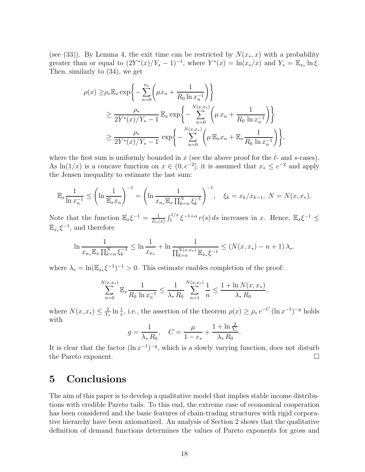(see (33)). By Lemma 4, the exit time can be restricted by  $N(x_*,x)$  with a probability greater than or equal to  $(2Y^*(x)/Y^* - 1)^{-1}$ , where  $Y^*(x) = \ln(x_*/x)$  and  $Y_* = \mathbb{E}_{x_*} \ln \xi$ . Then, similarly to (34), we get

$$
\rho(x) \geq \rho_* \mathbb{E}_x \exp \left\{ - \sum_{n=0}^{n_*} \left( \mu x_n + \frac{1}{R_0 \ln x_n^{-1}} \right) \right\}
$$
  
\n
$$
\geq \frac{\rho_*}{2Y^*(x)/Y_* - 1} \mathbb{E}_x \exp \left\{ - \sum_{n=0}^{N(x,x_*)} \left( \mu x_n + \frac{1}{R_0 \ln x_n^{-1}} \right) \right\}
$$
  
\n
$$
\geq \frac{\rho_*}{2Y^*(x)/Y_* - 1} \exp \left\{ - \sum_{n=0}^{N(x,x_*)} \left( \mu \mathbb{E}_x x_n + \mathbb{E}_x \frac{1}{R_0 \ln x_n^{-1}} \right) \right\},
$$

where the first sum is uniformly bounded in x (see the above proof for the  $\ell$ - and s-cases). As  $\ln(1/x)$  is a concave function on  $x \in (0, e^{-2}]$ , it is assumed that  $x_* \le e^{-2}$  and apply the Jensen inequality to estimate the last sum:

$$
\mathbb{E}_x \frac{1}{\ln x_n^{-1}} \le \left(\ln \frac{1}{\mathbb{E}_x x_n}\right)^{-1} = \left(\ln \frac{1}{x_{n_*} \mathbb{E}_x \prod_{k=n}^N \xi_k^{-1}}\right)^{-1}, \quad \xi_k = x_k / x_{k-1}, \ N = N(x, x_*).
$$

Note that the function  $\mathbb{E}_x \xi^{-1} = \frac{1}{Z_{\alpha}}$  $\frac{1}{Z_{\alpha}(x)} \int_1^{1/x} \xi^{-1+\alpha} r(s) ds$  increases in x. Hence,  $\mathbb{E}_x \xi^{-1} \leq$  $\mathbb{E}_{x_*}\xi^{-1}$ , and therefore

$$
\ln \frac{1}{x_{n_{*}} \mathbb{E}_{x} \prod_{k=n}^{N} \xi_{k}^{-1}} \leq \ln \frac{1}{x_{n_{*}}} + \ln \frac{1}{\prod_{k=n}^{N(x,x_{*})} \mathbb{E}_{x_{*}} \xi^{-1}} \leq (N(x,x_{*}) - n + 1) \lambda_{*}.
$$

where  $\lambda_* = \ln(\mathbb{E}_{x_*} \xi^{-1})^{-1} > 0$ . This estimate enables completion of the proof:

$$
\sum_{n=0}^{N(x,x_*)} \mathbb{E}_x \frac{1}{R_0 \ln x_n^{-1}} \le \frac{1}{\lambda_* R_0} \sum_{n=1}^{N(x,x_*)} \frac{1}{n} \le \frac{1 + \ln N(x,x_*)}{\lambda_* R_0},
$$

where  $N(x, x_*) \leq \frac{2}{Y}$  $\frac{2}{Y_*} \ln \frac{1}{x}$ , i.e., the assertion of the theorem  $\rho(x) \ge \rho_* e^{-C} (\ln x^{-1})^{-g}$  holds with

$$
g = \frac{1}{\lambda_* R_0}, \quad C = \frac{\mu}{1 - e_*} + \frac{1 + \ln \frac{2}{Y_*}}{\lambda_* R_0}.
$$

It is clear that the factor  $(\ln x^{-1})^{-g}$ , which is a slowly varying function, does not disturb the Pareto exponent.

### 5 Conclusions

The aim of this paper is to develop a qualitative model that implies stable income distributions with credible Pareto tails. To this end, the extreme case of economical cooperation has been considered and the basic features of chain-trading structures with rigid corporative hierarchy have been axiomatized. An analysis of Section 2 shows that the qualitative definition of demand functions determines the values of Pareto exponents for gross and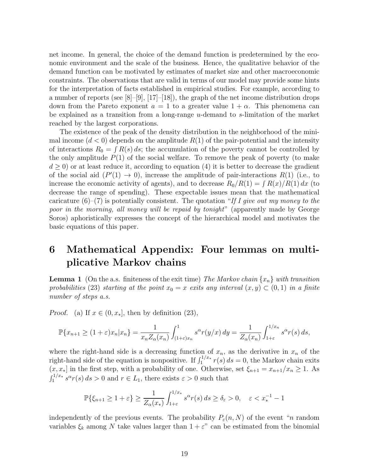net income. In general, the choice of the demand function is predetermined by the economic environment and the scale of the business. Hence, the qualitative behavior of the demand function can be motivated by estimates of market size and other macroeconomic constraints. The observations that are valid in terms of our model may provide some hints for the interpretation of facts established in empirical studies. For example, according to a number of reports (see [8]–[9], [17]–[18]), the graph of the net income distribution drops down from the Pareto exponent  $a = 1$  to a greater value  $1 + \alpha$ . This phenomena can be explained as a transition from a long-range u-demand to s-limitation of the market reached by the largest corporations.

The existence of the peak of the density distribution in the neighborhood of the minimal income  $(d < 0)$  depends on the amplitude  $R(1)$  of the pair-potential and the intensity of interactions  $R_0 = \int R(s) ds$ ; the accumulation of the poverty cannot be controlled by the only amplitude  $P(1)$  of the social welfare. To remove the peak of poverty (to make  $d \geq 0$ ) or at least reduce it, according to equation (4) it is better to decrease the gradient of the social aid  $(P'(1) \rightarrow 0)$ , increase the amplitude of pair-interactions  $R(1)$  (i.e., to increase the economic activity of agents), and to decrease  $R_0/R(1) = \int R(x)/R(1) dx$  (to decrease the range of spending). These expectable issues mean that the mathematical caricature  $(6)$ – $(7)$  is potentially consistent. The quotation "If I give out my money to the poor in the morning, all money will be repaid by tonight" (apparently made by George Soros) aphoristically expresses the concept of the hierarchical model and motivates the basic equations of this paper.

# 6 Mathematical Appendix: Four lemmas on multiplicative Markov chains

**Lemma 1** (On the a.s. finiteness of the exit time) The Markov chain  $\{x_n\}$  with transition probabilities (23) starting at the point  $x_0 = x$  exits any interval  $(x, y) \subset (0, 1)$  in a finite number of steps a.s.

*Proof.* (a) If  $x \in (0, x_*]$ , then by definition (23),

$$
\mathbb{P}\{x_{n+1}\geq (1+\varepsilon)x_n|x_n\}=\frac{1}{x_nZ_\alpha(x_n)}\int_{(1+\varepsilon)x_n}^1 s^\alpha r(y/x)\,dy=\frac{1}{Z_\alpha(x_n)}\int_{1+\varepsilon}^{1/x_n} s^\alpha r(s)\,ds,
$$

where the right-hand side is a decreasing function of  $x_n$ , as the derivative in  $x_n$  of the right-hand side of the equation is nonpositive. If  $\int_1^{1/x_*} r(s) ds = 0$ , the Markov chain exits  $(x, x_*)$  in the first step, with a probability of one. Otherwise, set  $\xi_{n+1} = x_{n+1}/x_n \geq 1$ . As  $\int_1^{1/x_*} s^{\alpha} r(s) ds > 0$  and  $r \in L_1$ , there exists  $\varepsilon > 0$  such that

$$
\mathbb{P}\{\xi_{n+1}\geq 1+\varepsilon\}\geq \frac{1}{Z_{\alpha}(x_{*})}\int_{1+\varepsilon}^{1/x_{*}}s^{\alpha}r(s)\,ds\geq \delta_{\varepsilon}>0,\quad \varepsilon
$$

independently of the previous events. The probability  $P_{\varepsilon}(n, N)$  of the event "*n* random variables  $\xi_k$  among N take values larger than  $1 + \varepsilon$ " can be estimated from the binomial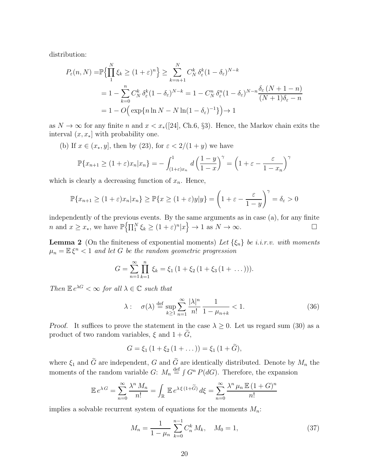distribution:

$$
P_{\varepsilon}(n, N) = \mathbb{P}\left\{\prod_{1}^{N} \xi_{k} \ge (1+\varepsilon)^{n}\right\} \ge \sum_{k=n+1}^{N} C_{N}^{k} \delta_{\varepsilon}^{k} (1-\delta_{\varepsilon})^{N-k}
$$
  
=  $1 - \sum_{k=0}^{n} C_{N}^{k} \delta_{\varepsilon}^{k} (1-\delta_{\varepsilon})^{N-k} = 1 - C_{N}^{n} \delta_{\varepsilon}^{n} (1-\delta_{\varepsilon})^{N-n} \frac{\delta_{\varepsilon} (N+1-n)}{(N+1)\delta_{\varepsilon} - n}$   
=  $1 - O\left(\exp\{n \ln N - N \ln(1-\delta_{\varepsilon})^{-1}\}\right) \to 1$ 

as  $N \to \infty$  for any finite n and  $x < x$ <sup>([24]</sup>, Ch.6, §3). Hence, the Markov chain exits the interval  $(x, x_*]$  with probability one.

(b) If  $x \in (x_*, y]$ , then by (23), for  $\varepsilon < 2/(1 + y)$  we have

$$
\mathbb{P}\{x_{n+1} \ge (1+\varepsilon)x_n | x_n\} = -\int_{(1+\varepsilon)x_n}^{1} d\left(\frac{1-y}{1-x}\right)^{\gamma} = \left(1+\varepsilon - \frac{\varepsilon}{1-x_n}\right)^{\gamma}
$$

which is clearly a decreasing function of  $x_n$ . Hence,

$$
\mathbb{P}\{x_{n+1} \ge (1+\varepsilon)x_n | x_n\} \ge \mathbb{P}\{x \ge (1+\varepsilon)y | y\} = \left(1+\varepsilon - \frac{\varepsilon}{1-y}\right)^{\gamma} = \delta_{\varepsilon} > 0
$$

independently of the previous events. By the same arguments as in case (a), for any finite *n* and  $x \ge x_*$ , we have  $\mathbb{P}\left\{\prod_{1}^{N} \xi_k \ge (1+\varepsilon)^n | x \right\} \to 1$  as  $N \to \infty$ .

**Lemma 2** (On the finiteness of exponential moments) Let  $\{\xi_n\}$  be i.i.r.v. with moments  $\mu_n = \mathbb{E} \xi^n < 1$  and let G be the random geometric progression

$$
G = \sum_{n=1}^{\infty} \prod_{k=1}^{n} \xi_k = \xi_1 (1 + \xi_2 (1 + \xi_3 (1 + \dots))).
$$

Then  $\mathbb{E} e^{\lambda G} < \infty$  for all  $\lambda \in \mathbb{C}$  such that

$$
\lambda: \quad \sigma(\lambda) \stackrel{\text{def}}{=} \sup_{k \ge 1} \sum_{n=1}^{\infty} \frac{|\lambda|^n}{n!} \frac{1}{1 - \mu_{n+k}} < 1. \tag{36}
$$

*Proof.* It suffices to prove the statement in the case  $\lambda \geq 0$ . Let us regard sum (30) as a product of two random variables,  $\xi$  and  $1 + \widetilde{G}$ ,

$$
G = \xi_1 (1 + \xi_2 (1 + \dots)) = \xi_1 (1 + \tilde{G}),
$$

where  $\xi_1$  and  $\tilde{G}$  are independent, G and  $\tilde{G}$  are identically distributed. Denote by  $M_n$  the moments of the random variable  $G: M_n \stackrel{\text{def}}{=} \int G^n P(dG)$ . Therefore, the expansion

$$
\mathbb{E} e^{\lambda G} = \sum_{n=0}^{\infty} \frac{\lambda^n M_n}{n!} = \int_{\mathbb{R}} \mathbb{E} e^{\lambda \xi (1 + \widetilde{G})} d\xi = \sum_{n=0}^{\infty} \frac{\lambda^n \mu_n \mathbb{E} (1 + G)^n}{n!}
$$

implies a solvable recurrent system of equations for the moments  $M_n$ :

$$
M_n = \frac{1}{1 - \mu_n} \sum_{k=0}^{n-1} C_n^k M_k, \quad M_0 = 1,
$$
\n(37)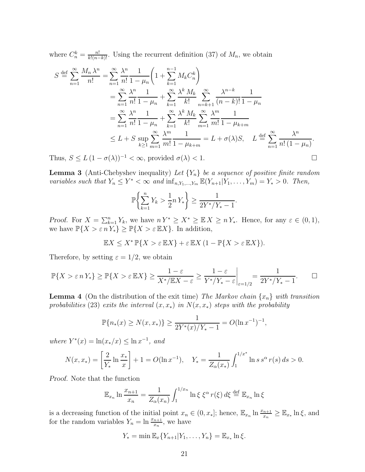where  $C_n^k = \frac{n!}{k!(n-k)!}$ . Using the recurrent definition (37) of  $M_n$ , we obtain

$$
S \stackrel{\text{def}}{=} \sum_{n=1}^{\infty} \frac{M_n \lambda^n}{n!} = \sum_{n=1}^{\infty} \frac{\lambda^n}{n!} \frac{1}{1 - \mu_n} \left( 1 + \sum_{k=1}^{n-1} M_k C_n^k \right)
$$
  
\n
$$
= \sum_{n=1}^{\infty} \frac{\lambda^n}{n!} \frac{1}{1 - \mu_n} + \sum_{k=1}^{\infty} \frac{\lambda^k M_k}{k!} \sum_{n=k+1}^{\infty} \frac{\lambda^{n-k}}{(n-k)!} \frac{1}{1 - \mu_n}
$$
  
\n
$$
= \sum_{n=1}^{\infty} \frac{\lambda^n}{n!} \frac{1}{1 - \mu_n} + \sum_{k=1}^{\infty} \frac{\lambda^k M_k}{k!} \sum_{m=1}^{\infty} \frac{\lambda^m}{m!} \frac{1}{1 - \mu_{k+m}}
$$
  
\n
$$
\leq L + S \sup_{k \geq 1} \sum_{m=1}^{\infty} \frac{\lambda^m}{m!} \frac{1}{1 - \mu_{k+m}} = L + \sigma(\lambda)S, \quad L \stackrel{\text{def}}{=} \sum_{n=1}^{\infty} \frac{\lambda^n}{n! (1 - \mu_n)}.
$$

Thus,  $S \le L (1 - \sigma(\lambda))^{-1} < \infty$ , provided  $\sigma(\lambda) < 1$ .

**Lemma 3** (Anti-Chebyshev inequality) Let  ${Y_n}$  be a sequence of positive finite random variables such that  $Y_n \leq Y^* < \infty$  and  $\inf_{n,Y_1,\dots,Y_m} \mathbb{E}(Y_{n+1}|Y_1,\dots,Y_m) = Y_* > 0$ . Then,

$$
\mathbb{P}\left\{\sum_{k=1}^{n} Y_k > \frac{1}{2}n Y_*\right\} \ge \frac{1}{2Y^*/Y_* - 1}.
$$

Proof. For  $X = \sum_{k=1}^n Y_k$ , we have  $n Y^* \ge X^* \ge \mathbb{E} X \ge n Y_*$ . Hence, for any  $\varepsilon \in (0,1)$ , we have  $\mathbb{P}\{X > \varepsilon n Y_*\} \geq \mathbb{P}\{X > \varepsilon \mathbb{E} X\}$ . In addition,

$$
\mathbb{E}X \le X^* \mathbb{P}\{X > \varepsilon \mathbb{E}X\} + \varepsilon \mathbb{E}X (1 - \mathbb{P}\{X > \varepsilon \mathbb{E}X\}).
$$

Therefore, by setting  $\varepsilon = 1/2$ , we obtain

$$
\mathbb{P}\{X > \varepsilon n Y_*\} \ge \mathbb{P}\{X > \varepsilon \mathbb{E} X\} \ge \frac{1-\varepsilon}{X^*/\mathbb{E} X - \varepsilon} \ge \frac{1-\varepsilon}{Y^*/Y_* - \varepsilon}\bigg|_{\varepsilon=1/2} = \frac{1}{2Y^*/Y_* - 1}.\quad \Box
$$

**Lemma 4** (On the distribution of the exit time) The Markov chain  $\{x_n\}$  with transition probabilities (23) exits the interval  $(x, x_*)$  in  $N(x, x_*)$  steps with the probability

$$
\mathbb{P}\{n_*(x) \ge N(x, x_*)\} \ge \frac{1}{2Y^*(x)/Y_* - 1} = O(\ln x^{-1})^{-1},
$$

where  $Y^*(x) = \ln(x_*/x) \leq \ln x^{-1}$ , and

$$
N(x, x_*) = \left[\frac{2}{Y_*} \ln \frac{x_*}{x}\right] + 1 = O(\ln x^{-1}), \quad Y_* = \frac{1}{Z_\alpha(x_*)} \int_1^{1/x^*} \ln s \, s^\alpha \, r(s) \, ds > 0.
$$

Proof. Note that the function

$$
\mathbb{E}_{x_n} \ln \frac{x_{n+1}}{x_n} = \frac{1}{Z_\alpha(x_n)} \int_1^{1/x_n} \ln \xi \xi^\alpha r(\xi) d\xi \stackrel{\text{def}}{=} \mathbb{E}_{x_n} \ln \xi
$$

is a decreasing function of the initial point  $x_n \in (0, x_*]$ ; hence,  $\mathbb{E}_{x_n} \ln \frac{x_{n+1}}{x_n} \geq \mathbb{E}_{x_*} \ln \xi$ , and for the random variables  $Y_n = \ln \frac{x_{n+1}}{x_n}$ , we have

$$
Y_* = \min \mathbb{E}_x \{ Y_{n+1} | Y_1, \dots, Y_n \} = \mathbb{E}_{x_*} \ln \xi.
$$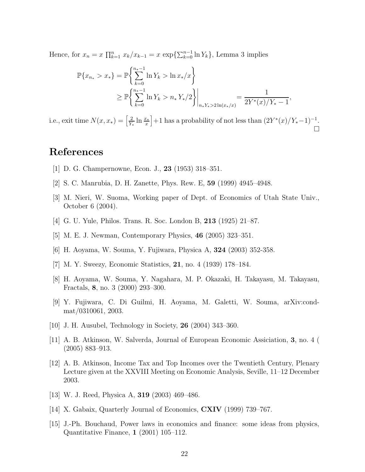Hence, for  $x_n = x \prod_{k=1}^n x_k/x_{k-1} = x \exp{\{\sum_{k=0}^{n-1} \ln Y_k\}}$ , Lemma 3 implies

$$
\mathbb{P}\{x_{n_{*}} > x_{*}\} = \mathbb{P}\left\{\sum_{k=0}^{n_{*}-1} \ln Y_{k} > \ln x_{*}/x\right\}
$$
  
\n
$$
\geq \mathbb{P}\left\{\sum_{k=0}^{n_{*}-1} \ln Y_{k} > n_{*} Y_{*}/2\right\}\Big|_{n_{*} Y_{*}>2 \ln(x_{*}/x)} = \frac{1}{2Y^{*}(x)/Y_{*}-1},
$$

i.e., exit time  $N(x, x_*) = \left[\frac{2}{Y}\right]$  $\frac{2}{Y_*} \ln \frac{x_*}{x}$ |+1 has a probability of not less than  $(2Y^*(x)/Y^*-1)^{-1}$ .  $\Box$ 

## References

- [1] D. G. Champernowne, Econ. J., 23 (1953) 318–351.
- [2] S. C. Manrubia, D. H. Zanette, Phys. Rew. E, 59 (1999) 4945–4948.
- [3] M. Nieri, W. Suoma, Working paper of Dept. of Economics of Utah State Univ., October 6 (2004).
- [4] G. U. Yule, Philos. Trans. R. Soc. London B, 213 (1925) 21–87.
- [5] M. E. J. Newman, Contemporary Physics, 46 (2005) 323–351.
- [6] H. Aoyama, W. Souma, Y. Fujiwara, Physica A, 324 (2003) 352-358.
- [7] M. Y. Sweezy, Economic Statistics, 21, no. 4 (1939) 178–184.
- [8] H. Aoyama, W. Souma, Y. Nagahara, M. P. Okazaki, H. Takayasu, M. Takayasu, Fractals, 8, no. 3 (2000) 293–300.
- [9] Y. Fujiwara, C. Di Guilmi, H. Aoyama, M. Galetti, W. Souma, arXiv:condmat/0310061, 2003.
- [10] J. H. Ausubel, Technology in Society, 26 (2004) 343–360.
- [11] A. B. Atkinson, W. Salverda, Journal of European Economic Assiciation, 3, no. 4 ( (2005) 883–913.
- [12] A. B. Atkinson, Income Tax and Top Incomes over the Twentieth Century, Plenary Lecture given at the XXVIII Meeting on Economic Analysis, Seville, 11–12 December 2003.
- [13] W. J. Reed, Physica A, 319 (2003) 469–486.
- [14] X. Gabaix, Quarterly Journal of Economics, CXIV (1999) 739–767.
- [15] J.-Ph. Bouchaud, Power laws in economics and finance: some ideas from physics, Quantitative Finance, 1 (2001) 105–112.